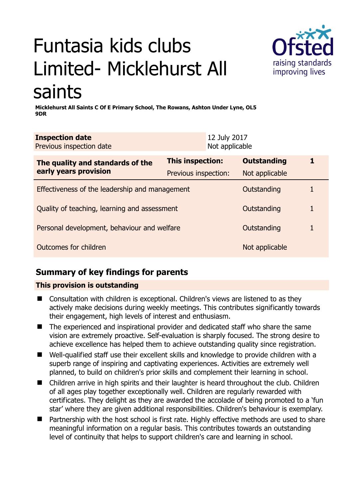# Funtasia kids clubs Limited- Micklehurst All saints



**Micklehurst All Saints C Of E Primary School, The Rowans, Ashton Under Lyne, OL5 9DR** 

| <b>Inspection date</b><br>Previous inspection date        |                         | 12 July 2017<br>Not applicable |                    |   |
|-----------------------------------------------------------|-------------------------|--------------------------------|--------------------|---|
| The quality and standards of the<br>early years provision | <b>This inspection:</b> |                                | <b>Outstanding</b> | 1 |
|                                                           | Previous inspection:    |                                | Not applicable     |   |
| Effectiveness of the leadership and management            |                         |                                | Outstanding        |   |
| Quality of teaching, learning and assessment              |                         |                                | Outstanding        | 1 |
| Personal development, behaviour and welfare               |                         |                                | Outstanding        |   |
| Outcomes for children                                     |                         |                                | Not applicable     |   |

# **Summary of key findings for parents**

### **This provision is outstanding**

- Consultation with children is exceptional. Children's views are listened to as they actively make decisions during weekly meetings. This contributes significantly towards their engagement, high levels of interest and enthusiasm.
- The experienced and inspirational provider and dedicated staff who share the same vision are extremely proactive. Self-evaluation is sharply focused. The strong desire to achieve excellence has helped them to achieve outstanding quality since registration.
- Well-qualified staff use their excellent skills and knowledge to provide children with a superb range of inspiring and captivating experiences. Activities are extremely well planned, to build on children's prior skills and complement their learning in school.
- Children arrive in high spirits and their laughter is heard throughout the club. Children of all ages play together exceptionally well. Children are regularly rewarded with certificates. They delight as they are awarded the accolade of being promoted to a 'fun star' where they are given additional responsibilities. Children's behaviour is exemplary.
- Partnership with the host school is first rate. Highly effective methods are used to share meaningful information on a regular basis. This contributes towards an outstanding level of continuity that helps to support children's care and learning in school.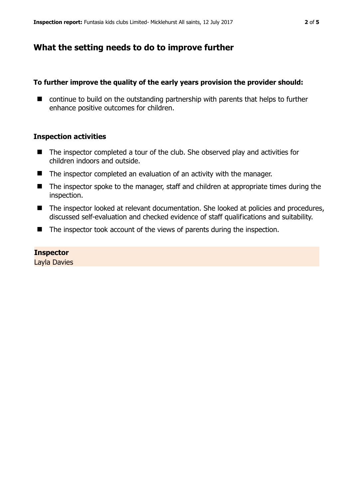## **What the setting needs to do to improve further**

#### **To further improve the quality of the early years provision the provider should:**

■ continue to build on the outstanding partnership with parents that helps to further enhance positive outcomes for children.

#### **Inspection activities**

- The inspector completed a tour of the club. She observed play and activities for children indoors and outside.
- The inspector completed an evaluation of an activity with the manager.
- The inspector spoke to the manager, staff and children at appropriate times during the inspection.
- The inspector looked at relevant documentation. She looked at policies and procedures, discussed self-evaluation and checked evidence of staff qualifications and suitability.
- The inspector took account of the views of parents during the inspection.

#### **Inspector**

Layla Davies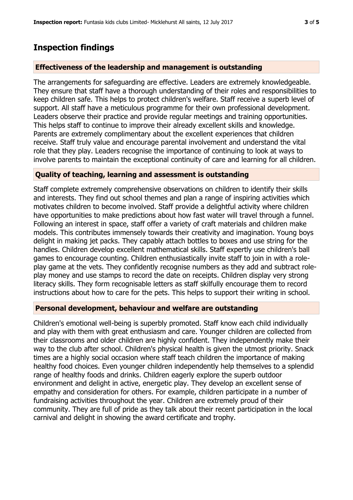## **Inspection findings**

#### **Effectiveness of the leadership and management is outstanding**

The arrangements for safeguarding are effective. Leaders are extremely knowledgeable. They ensure that staff have a thorough understanding of their roles and responsibilities to keep children safe. This helps to protect children's welfare. Staff receive a superb level of support. All staff have a meticulous programme for their own professional development. Leaders observe their practice and provide regular meetings and training opportunities. This helps staff to continue to improve their already excellent skills and knowledge. Parents are extremely complimentary about the excellent experiences that children receive. Staff truly value and encourage parental involvement and understand the vital role that they play. Leaders recognise the importance of continuing to look at ways to involve parents to maintain the exceptional continuity of care and learning for all children.

#### **Quality of teaching, learning and assessment is outstanding**

Staff complete extremely comprehensive observations on children to identify their skills and interests. They find out school themes and plan a range of inspiring activities which motivates children to become involved. Staff provide a delightful activity where children have opportunities to make predictions about how fast water will travel through a funnel. Following an interest in space, staff offer a variety of craft materials and children make models. This contributes immensely towards their creativity and imagination. Young boys delight in making jet packs. They capably attach bottles to boxes and use string for the handles. Children develop excellent mathematical skills. Staff expertly use children's ball games to encourage counting. Children enthusiastically invite staff to join in with a roleplay game at the vets. They confidently recognise numbers as they add and subtract roleplay money and use stamps to record the date on receipts. Children display very strong literacy skills. They form recognisable letters as staff skilfully encourage them to record instructions about how to care for the pets. This helps to support their writing in school.

#### **Personal development, behaviour and welfare are outstanding**

Children's emotional well-being is superbly promoted. Staff know each child individually and play with them with great enthusiasm and care. Younger children are collected from their classrooms and older children are highly confident. They independently make their way to the club after school. Children's physical health is given the utmost priority. Snack times are a highly social occasion where staff teach children the importance of making healthy food choices. Even younger children independently help themselves to a splendid range of healthy foods and drinks. Children eagerly explore the superb outdoor environment and delight in active, energetic play. They develop an excellent sense of empathy and consideration for others. For example, children participate in a number of fundraising activities throughout the year. Children are extremely proud of their community. They are full of pride as they talk about their recent participation in the local carnival and delight in showing the award certificate and trophy.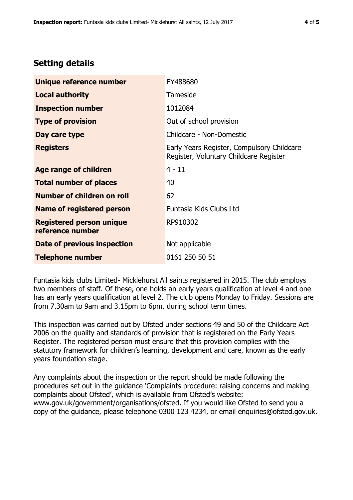## **Setting details**

| Unique reference number                             | EY488680                                                                             |  |
|-----------------------------------------------------|--------------------------------------------------------------------------------------|--|
| <b>Local authority</b>                              | Tameside                                                                             |  |
| <b>Inspection number</b>                            | 1012084                                                                              |  |
| <b>Type of provision</b>                            | Out of school provision                                                              |  |
| Day care type                                       | Childcare - Non-Domestic                                                             |  |
| <b>Registers</b>                                    | Early Years Register, Compulsory Childcare<br>Register, Voluntary Childcare Register |  |
| <b>Age range of children</b>                        | $4 - 11$                                                                             |  |
| <b>Total number of places</b>                       | 40                                                                                   |  |
| Number of children on roll                          | 62                                                                                   |  |
| <b>Name of registered person</b>                    | Funtasia Kids Clubs Ltd                                                              |  |
| <b>Registered person unique</b><br>reference number | RP910302                                                                             |  |
| Date of previous inspection                         | Not applicable                                                                       |  |
| <b>Telephone number</b>                             | 0161 250 50 51                                                                       |  |

Funtasia kids clubs Limited- Micklehurst All saints registered in 2015. The club employs two members of staff. Of these, one holds an early years qualification at level 4 and one has an early years qualification at level 2. The club opens Monday to Friday. Sessions are from 7.30am to 9am and 3.15pm to 6pm, during school term times.

This inspection was carried out by Ofsted under sections 49 and 50 of the Childcare Act 2006 on the quality and standards of provision that is registered on the Early Years Register. The registered person must ensure that this provision complies with the statutory framework for children's learning, development and care, known as the early years foundation stage.

Any complaints about the inspection or the report should be made following the procedures set out in the guidance 'Complaints procedure: raising concerns and making complaints about Ofsted', which is available from Ofsted's website: www.gov.uk/government/organisations/ofsted. If you would like Ofsted to send you a copy of the guidance, please telephone 0300 123 4234, or email enquiries@ofsted.gov.uk.